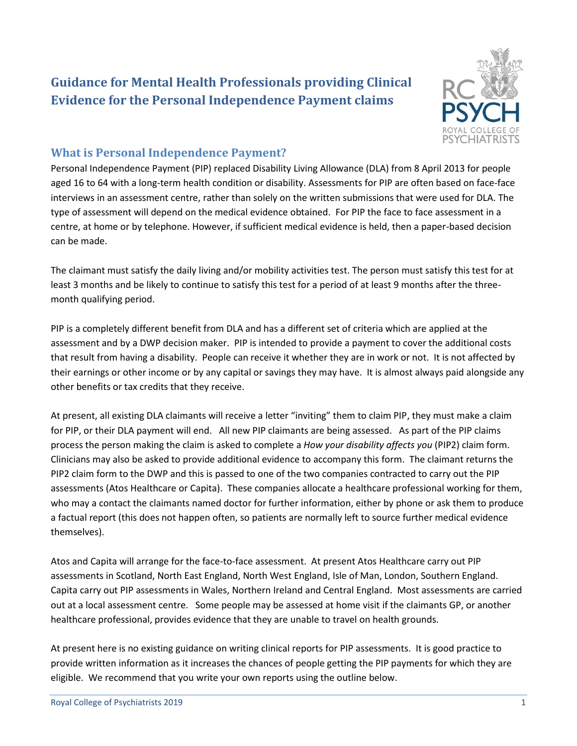# **Guidance for Mental Health Professionals providing Clinical Evidence for the Personal Independence Payment claims**



# **What is Personal Independence Payment?**

Personal Independence Payment (PIP) replaced Disability Living Allowance (DLA) from 8 April 2013 for people aged 16 to 64 with a long-term health condition or disability. Assessments for PIP are often based on face-face interviews in an assessment centre, rather than solely on the written submissions that were used for DLA. The type of assessment will depend on the medical evidence obtained. For PIP the face to face assessment in a centre, at home or by telephone. However, if sufficient medical evidence is held, then a paper-based decision can be made.

The claimant must satisfy the daily living and/or mobility activities test. The person must satisfy this test for at least 3 months and be likely to continue to satisfy this test for a period of at least 9 months after the threemonth qualifying period.

PIP is a completely different benefit from DLA and has a different set of criteria which are applied at the assessment and by a DWP decision maker. PIP is intended to provide a payment to cover the additional costs that result from having a disability. People can receive it whether they are in work or not. It is not affected by their earnings or other income or by any capital or savings they may have. It is almost always paid alongside any other benefits or tax credits that they receive.

At present, all existing DLA claimants will receive a letter "inviting" them to claim PIP, they must make a claim for PIP, or their DLA payment will end. All new PIP claimants are being assessed. As part of the PIP claims process the person making the claim is asked to complete a *How your disability affects you* (PIP2) claim form. Clinicians may also be asked to provide additional evidence to accompany this form. The claimant returns the PIP2 claim form to the DWP and this is passed to one of the two companies contracted to carry out the PIP assessments (Atos Healthcare or Capita). These companies allocate a healthcare professional working for them, who may a contact the claimants named doctor for further information, either by phone or ask them to produce a factual report (this does not happen often, so patients are normally left to source further medical evidence themselves).

Atos and Capita will arrange for the face-to-face assessment. At present Atos Healthcare carry out PIP assessments in Scotland, North East England, North West England, Isle of Man, London, Southern England. Capita carry out PIP assessments in Wales, Northern Ireland and Central England. Most assessments are carried out at a local assessment centre. Some people may be assessed at home visit if the claimants GP, or another healthcare professional, provides evidence that they are unable to travel on health grounds.

At present here is no existing guidance on writing clinical reports for PIP assessments. It is good practice to provide written information as it increases the chances of people getting the PIP payments for which they are eligible. We recommend that you write your own reports using the outline below.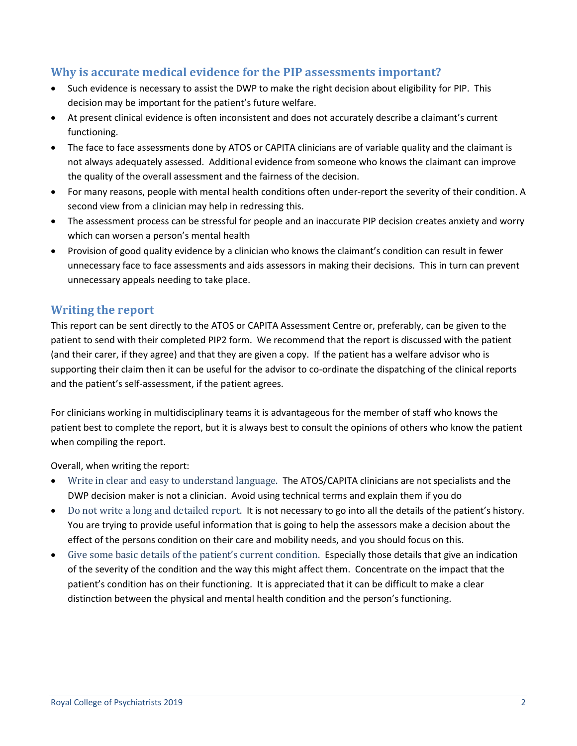# **Why is accurate medical evidence for the PIP assessments important?**

- Such evidence is necessary to assist the DWP to make the right decision about eligibility for PIP. This decision may be important for the patient's future welfare.
- At present clinical evidence is often inconsistent and does not accurately describe a claimant's current functioning.
- The face to face assessments done by ATOS or CAPITA clinicians are of variable quality and the claimant is not always adequately assessed. Additional evidence from someone who knows the claimant can improve the quality of the overall assessment and the fairness of the decision.
- For many reasons, people with mental health conditions often under-report the severity of their condition. A second view from a clinician may help in redressing this.
- The assessment process can be stressful for people and an inaccurate PIP decision creates anxiety and worry which can worsen a person's mental health
- Provision of good quality evidence by a clinician who knows the claimant's condition can result in fewer unnecessary face to face assessments and aids assessors in making their decisions. This in turn can prevent unnecessary appeals needing to take place.

## **Writing the report**

This report can be sent directly to the ATOS or CAPITA Assessment Centre or, preferably, can be given to the patient to send with their completed PIP2 form. We recommend that the report is discussed with the patient (and their carer, if they agree) and that they are given a copy. If the patient has a welfare advisor who is supporting their claim then it can be useful for the advisor to co-ordinate the dispatching of the clinical reports and the patient's self-assessment, if the patient agrees.

For clinicians working in multidisciplinary teams it is advantageous for the member of staff who knows the patient best to complete the report, but it is always best to consult the opinions of others who know the patient when compiling the report.

Overall, when writing the report:

- Write in clear and easy to understand language. The ATOS/CAPITA clinicians are not specialists and the DWP decision maker is not a clinician. Avoid using technical terms and explain them if you do
- Do not write a long and detailed report. It is not necessary to go into all the details of the patient's history. You are trying to provide useful information that is going to help the assessors make a decision about the effect of the persons condition on their care and mobility needs, and you should focus on this.
- Give some basic details of the patient's current condition. Especially those details that give an indication of the severity of the condition and the way this might affect them. Concentrate on the impact that the patient's condition has on their functioning. It is appreciated that it can be difficult to make a clear distinction between the physical and mental health condition and the person's functioning.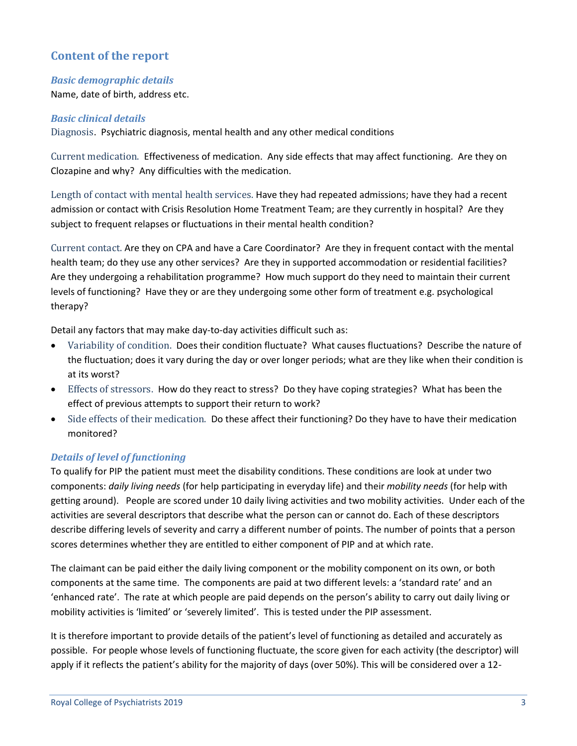# **Content of the report**

#### *Basic demographic details*

Name, date of birth, address etc.

#### *Basic clinical details*

Diagnosis. Psychiatric diagnosis, mental health and any other medical conditions

Current medication. Effectiveness of medication. Any side effects that may affect functioning. Are they on Clozapine and why? Any difficulties with the medication.

Length of contact with mental health services. Have they had repeated admissions; have they had a recent admission or contact with Crisis Resolution Home Treatment Team; are they currently in hospital? Are they subject to frequent relapses or fluctuations in their mental health condition?

Current contact. Are they on CPA and have a Care Coordinator? Are they in frequent contact with the mental health team; do they use any other services? Are they in supported accommodation or residential facilities? Are they undergoing a rehabilitation programme? How much support do they need to maintain their current levels of functioning? Have they or are they undergoing some other form of treatment e.g. psychological therapy?

Detail any factors that may make day-to-day activities difficult such as:

- Variability of condition. Does their condition fluctuate? What causes fluctuations? Describe the nature of the fluctuation; does it vary during the day or over longer periods; what are they like when their condition is at its worst?
- Effects of stressors. How do they react to stress? Do they have coping strategies? What has been the effect of previous attempts to support their return to work?
- Side effects of their medication. Do these affect their functioning? Do they have to have their medication monitored?

### *Details of level of functioning*

To qualify for PIP the patient must meet the disability conditions. These conditions are look at under two components: *daily living needs* (for help participating in everyday life) and their *mobility needs* (for help with getting around). People are scored under 10 daily living activities and two mobility activities. Under each of the activities are several descriptors that describe what the person can or cannot do. Each of these descriptors describe differing levels of severity and carry a different number of points. The number of points that a person scores determines whether they are entitled to either component of PIP and at which rate.

The claimant can be paid either the daily living component or the mobility component on its own, or both components at the same time. The components are paid at two different levels: a 'standard rate' and an 'enhanced rate'. The rate at which people are paid depends on the person's ability to carry out daily living or mobility activities is 'limited' or 'severely limited'. This is tested under the PIP assessment.

It is therefore important to provide details of the patient's level of functioning as detailed and accurately as possible. For people whose levels of functioning fluctuate, the score given for each activity (the descriptor) will apply if it reflects the patient's ability for the majority of days (over 50%). This will be considered over a 12-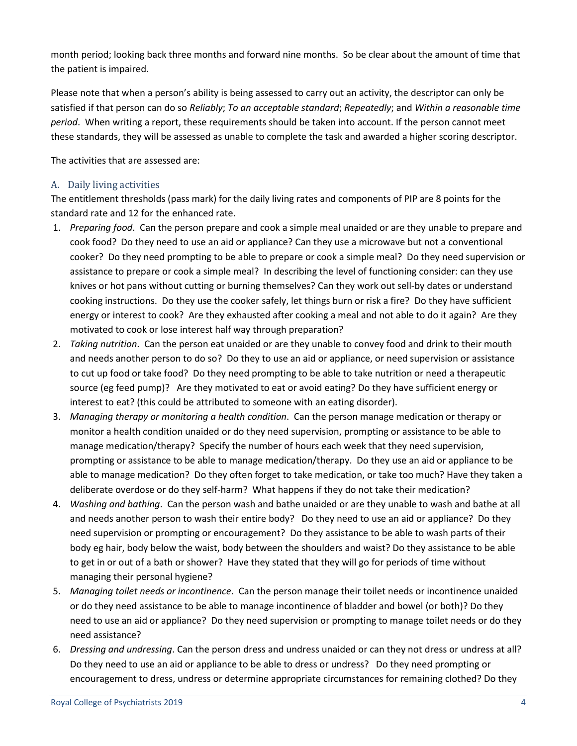month period; looking back three months and forward nine months. So be clear about the amount of time that the patient is impaired.

Please note that when a person's ability is being assessed to carry out an activity, the descriptor can only be satisfied if that person can do so *Reliably*; *To an acceptable standard*; *Repeatedly*; and *Within a reasonable time period*. When writing a report, these requirements should be taken into account. If the person cannot meet these standards, they will be assessed as unable to complete the task and awarded a higher scoring descriptor.

The activities that are assessed are:

### A. Daily living activities

The entitlement thresholds (pass mark) for the daily living rates and components of PIP are 8 points for the standard rate and 12 for the enhanced rate.

- 1. *Preparing food*. Can the person prepare and cook a simple meal unaided or are they unable to prepare and cook food? Do they need to use an aid or appliance? Can they use a microwave but not a conventional cooker? Do they need prompting to be able to prepare or cook a simple meal? Do they need supervision or assistance to prepare or cook a simple meal? In describing the level of functioning consider: can they use knives or hot pans without cutting or burning themselves? Can they work out sell-by dates or understand cooking instructions. Do they use the cooker safely, let things burn or risk a fire? Do they have sufficient energy or interest to cook? Are they exhausted after cooking a meal and not able to do it again? Are they motivated to cook or lose interest half way through preparation?
- 2. *Taking nutrition*. Can the person eat unaided or are they unable to convey food and drink to their mouth and needs another person to do so? Do they to use an aid or appliance, or need supervision or assistance to cut up food or take food? Do they need prompting to be able to take nutrition or need a therapeutic source (eg feed pump)? Are they motivated to eat or avoid eating? Do they have sufficient energy or interest to eat? (this could be attributed to someone with an eating disorder).
- 3. *Managing therapy or monitoring a health condition*. Can the person manage medication or therapy or monitor a health condition unaided or do they need supervision, prompting or assistance to be able to manage medication/therapy? Specify the number of hours each week that they need supervision, prompting or assistance to be able to manage medication/therapy. Do they use an aid or appliance to be able to manage medication? Do they often forget to take medication, or take too much? Have they taken a deliberate overdose or do they self-harm? What happens if they do not take their medication?
- 4. *Washing and bathing*. Can the person wash and bathe unaided or are they unable to wash and bathe at all and needs another person to wash their entire body? Do they need to use an aid or appliance? Do they need supervision or prompting or encouragement? Do they assistance to be able to wash parts of their body eg hair, body below the waist, body between the shoulders and waist? Do they assistance to be able to get in or out of a bath or shower? Have they stated that they will go for periods of time without managing their personal hygiene?
- 5. *Managing toilet needs or incontinence*. Can the person manage their toilet needs or incontinence unaided or do they need assistance to be able to manage incontinence of bladder and bowel (or both)? Do they need to use an aid or appliance? Do they need supervision or prompting to manage toilet needs or do they need assistance?
- 6. *Dressing and undressing*. Can the person dress and undress unaided or can they not dress or undress at all? Do they need to use an aid or appliance to be able to dress or undress? Do they need prompting or encouragement to dress, undress or determine appropriate circumstances for remaining clothed? Do they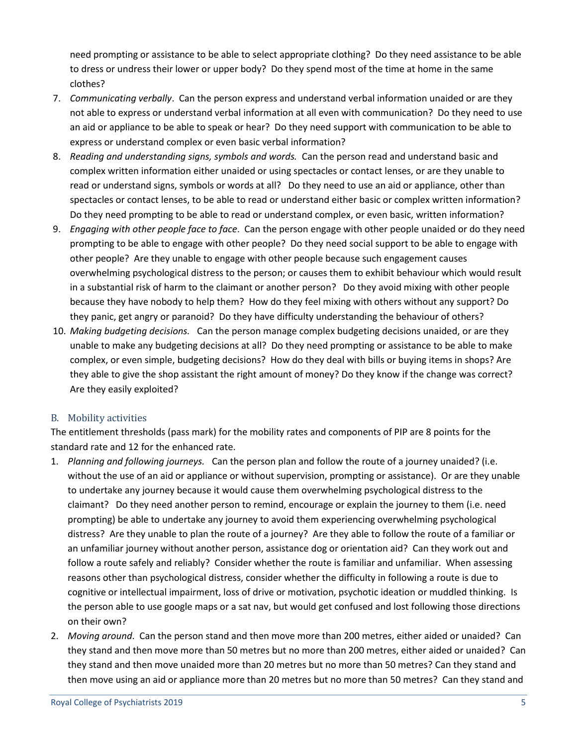need prompting or assistance to be able to select appropriate clothing? Do they need assistance to be able to dress or undress their lower or upper body? Do they spend most of the time at home in the same clothes?

- 7. *Communicating verbally*. Can the person express and understand verbal information unaided or are they not able to express or understand verbal information at all even with communication? Do they need to use an aid or appliance to be able to speak or hear? Do they need support with communication to be able to express or understand complex or even basic verbal information?
- 8. *Reading and understanding signs, symbols and words.* Can the person read and understand basic and complex written information either unaided or using spectacles or contact lenses, or are they unable to read or understand signs, symbols or words at all? Do they need to use an aid or appliance, other than spectacles or contact lenses, to be able to read or understand either basic or complex written information? Do they need prompting to be able to read or understand complex, or even basic, written information?
- 9. *Engaging with other people face to face*. Can the person engage with other people unaided or do they need prompting to be able to engage with other people? Do they need social support to be able to engage with other people? Are they unable to engage with other people because such engagement causes overwhelming psychological distress to the person; or causes them to exhibit behaviour which would result in a substantial risk of harm to the claimant or another person? Do they avoid mixing with other people because they have nobody to help them? How do they feel mixing with others without any support? Do they panic, get angry or paranoid? Do they have difficulty understanding the behaviour of others?
- 10. *Making budgeting decisions.* Can the person manage complex budgeting decisions unaided, or are they unable to make any budgeting decisions at all? Do they need prompting or assistance to be able to make complex, or even simple, budgeting decisions? How do they deal with bills or buying items in shops? Are they able to give the shop assistant the right amount of money? Do they know if the change was correct? Are they easily exploited?

### B. Mobility activities

The entitlement thresholds (pass mark) for the mobility rates and components of PIP are 8 points for the standard rate and 12 for the enhanced rate.

- 1. *Planning and following journeys.* Can the person plan and follow the route of a journey unaided? (i.e. without the use of an aid or appliance or without supervision, prompting or assistance). Or are they unable to undertake any journey because it would cause them overwhelming psychological distress to the claimant? Do they need another person to remind, encourage or explain the journey to them (i.e. need prompting) be able to undertake any journey to avoid them experiencing overwhelming psychological distress? Are they unable to plan the route of a journey? Are they able to follow the route of a familiar or an unfamiliar journey without another person, assistance dog or orientation aid? Can they work out and follow a route safely and reliably? Consider whether the route is familiar and unfamiliar. When assessing reasons other than psychological distress, consider whether the difficulty in following a route is due to cognitive or intellectual impairment, loss of drive or motivation, psychotic ideation or muddled thinking. Is the person able to use google maps or a sat nav, but would get confused and lost following those directions on their own?
- 2. *Moving around*. Can the person stand and then move more than 200 metres, either aided or unaided? Can they stand and then move more than 50 metres but no more than 200 metres, either aided or unaided? Can they stand and then move unaided more than 20 metres but no more than 50 metres? Can they stand and then move using an aid or appliance more than 20 metres but no more than 50 metres? Can they stand and